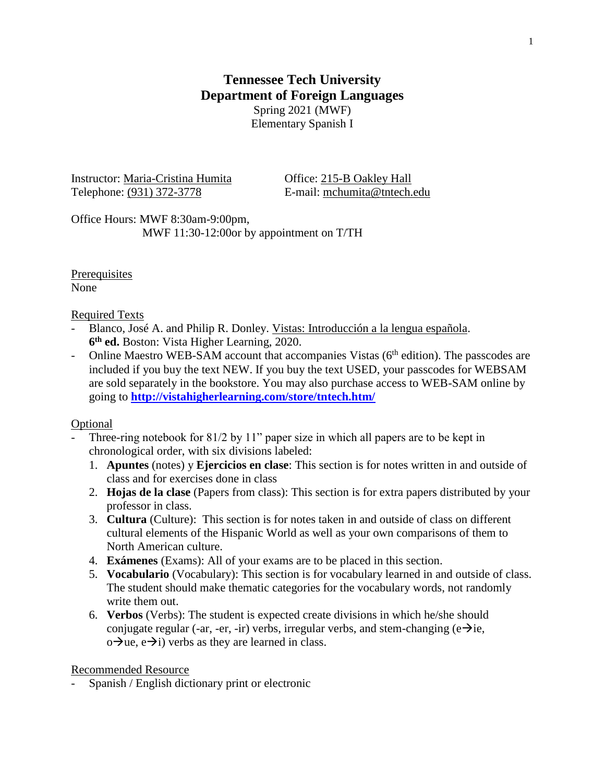# **Tennessee Tech University Department of Foreign Languages** Spring 2021 (MWF)

Elementary Spanish I

Instructor: Maria-Cristina Humita Office: 215-B Oakley Hall Telephone: (931) 372-3778 E-mail: mchumita@tntech.edu

Office Hours: MWF 8:30am-9:00pm, MWF 11:30-12:00or by appointment on T/TH

**Prerequisites** None

Required Texts

- Blanco, José A. and Philip R. Donley. Vistas: Introducción a la lengua española. **6 th ed.** Boston: Vista Higher Learning, 2020.
- Online Maestro WEB-SAM account that accompanies Vistas (6<sup>th</sup> edition). The passcodes are included if you buy the text NEW. If you buy the text USED, your passcodes for WEBSAM are sold separately in the bookstore. You may also purchase access to WEB-SAM online by going to **<http://vistahigherlearning.com/store/tntech.htm/>**

# **Optional**

- Three-ring notebook for  $81/2$  by  $11$ " paper size in which all papers are to be kept in chronological order, with six divisions labeled:
	- 1. **Apuntes** (notes) y **Ejercicios en clase**: This section is for notes written in and outside of class and for exercises done in class
	- 2. **Hojas de la clase** (Papers from class): This section is for extra papers distributed by your professor in class.
	- 3. **Cultura** (Culture): This section is for notes taken in and outside of class on different cultural elements of the Hispanic World as well as your own comparisons of them to North American culture.
	- 4. **Exámenes** (Exams): All of your exams are to be placed in this section.
	- 5. **Vocabulario** (Vocabulary): This section is for vocabulary learned in and outside of class. The student should make thematic categories for the vocabulary words, not randomly write them out.
	- 6. **Verbos** (Verbs): The student is expected create divisions in which he/she should conjugate regular (-ar, -er, -ir) verbs, irregular verbs, and stem-changing ( $e\rightarrow ie$ ,  $o\rightarrow$ ue, e $\rightarrow$ i) verbs as they are learned in class.

# Recommended Resource

Spanish / English dictionary print or electronic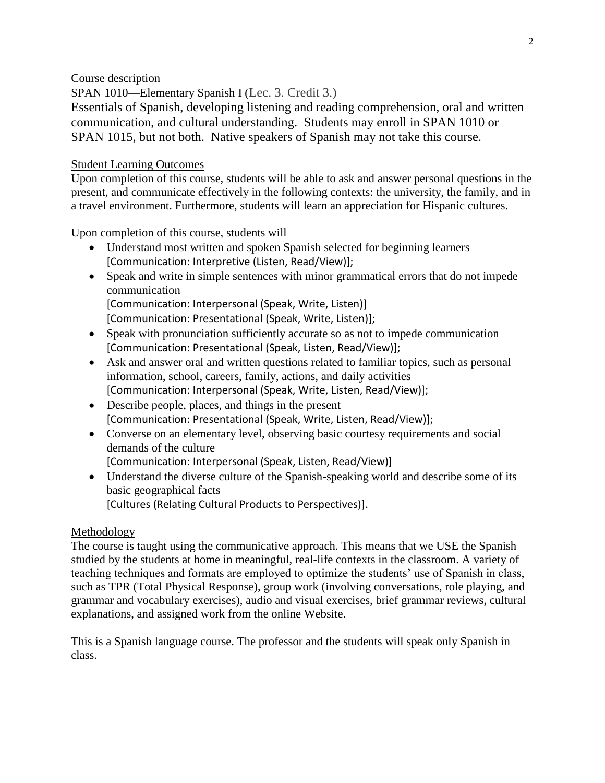## Course description

SPAN 1010—Elementary Spanish I (Lec. 3. Credit 3.)

Essentials of Spanish, developing listening and reading comprehension, oral and written communication, and cultural understanding. Students may enroll in SPAN 1010 or SPAN 1015, but not both. Native speakers of Spanish may not take this course.

## Student Learning Outcomes

Upon completion of this course, students will be able to ask and answer personal questions in the present, and communicate effectively in the following contexts: the university, the family, and in a travel environment. Furthermore, students will learn an appreciation for Hispanic cultures.

Upon completion of this course, students will

- Understand most written and spoken Spanish selected for beginning learners [Communication: Interpretive (Listen, Read/View)];
- Speak and write in simple sentences with minor grammatical errors that do not impede communication [Communication: Interpersonal (Speak, Write, Listen)] [Communication: Presentational (Speak, Write, Listen)];
- Speak with pronunciation sufficiently accurate so as not to impede communication [Communication: Presentational (Speak, Listen, Read/View)];
- Ask and answer oral and written questions related to familiar topics, such as personal information, school, careers, family, actions, and daily activities [Communication: Interpersonal (Speak, Write, Listen, Read/View)];
- Describe people, places, and things in the present [Communication: Presentational (Speak, Write, Listen, Read/View)];
- Converse on an elementary level, observing basic courtesy requirements and social demands of the culture
	- [Communication: Interpersonal (Speak, Listen, Read/View)]
- Understand the diverse culture of the Spanish-speaking world and describe some of its basic geographical facts
	- [Cultures (Relating Cultural Products to Perspectives)].

# Methodology

The course is taught using the communicative approach. This means that we USE the Spanish studied by the students at home in meaningful, real-life contexts in the classroom. A variety of teaching techniques and formats are employed to optimize the students' use of Spanish in class, such as TPR (Total Physical Response), group work (involving conversations, role playing, and grammar and vocabulary exercises), audio and visual exercises, brief grammar reviews, cultural explanations, and assigned work from the online Website.

This is a Spanish language course. The professor and the students will speak only Spanish in class.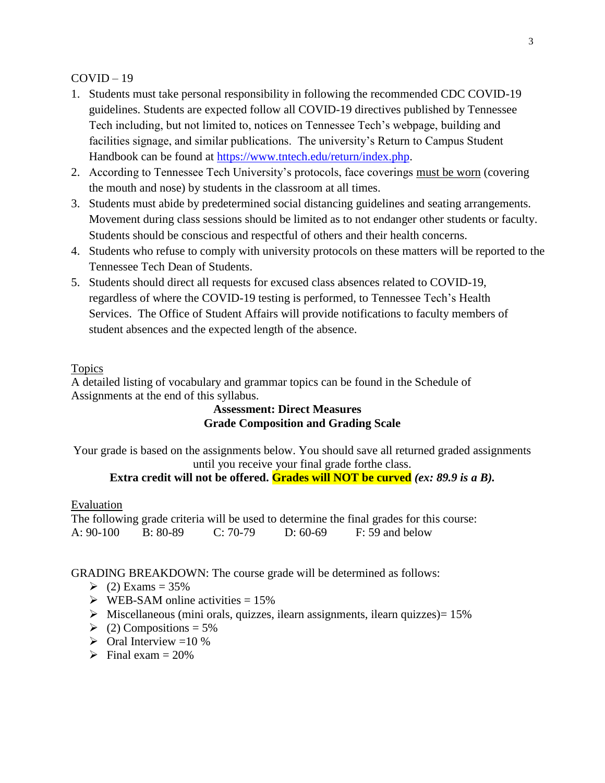### $COVID - 19$

- 1. Students must take personal responsibility in following the recommended CDC COVID-19 guidelines. Students are expected follow all COVID-19 directives published by Tennessee Tech including, but not limited to, notices on Tennessee Tech's webpage, building and facilities signage, and similar publications. The university's Return to Campus Student Handbook can be found at [https://www.tntech.edu/return/index.php.](https://www.tntech.edu/return/index.php)
- 2. According to Tennessee Tech University's protocols, face coverings must be worn (covering the mouth and nose) by students in the classroom at all times.
- 3. Students must abide by predetermined social distancing guidelines and seating arrangements. Movement during class sessions should be limited as to not endanger other students or faculty. Students should be conscious and respectful of others and their health concerns.
- 4. Students who refuse to comply with university protocols on these matters will be reported to the Tennessee Tech Dean of Students.
- 5. Students should direct all requests for excused class absences related to COVID-19, regardless of where the COVID-19 testing is performed, to Tennessee Tech's Health Services. The Office of Student Affairs will provide notifications to faculty members of student absences and the expected length of the absence.

### Topics

A detailed listing of vocabulary and grammar topics can be found in the Schedule of Assignments at the end of this syllabus.

### **Assessment: Direct Measures Grade Composition and Grading Scale**

Your grade is based on the assignments below. You should save all returned graded assignments until you receive your final grade forthe class.

## **Extra credit will not be offered. Grades will NOT be curved** *(ex: 89.9 is a B).*

#### Evaluation

The following grade criteria will be used to determine the final grades for this course: A: 90-100 B: 80-89 C: 70-79 D: 60-69 F: 59 and below

## GRADING BREAKDOWN: The course grade will be determined as follows:

- $\geq$  (2) Exams = 35%
- $\triangleright$  WEB-SAM online activities = 15%
- $\triangleright$  Miscellaneous (mini orals, quizzes, ilearn assignments, ilearn quizzes) = 15%
- $\geq$  (2) Compositions = 5%
- $\triangleright$  Oral Interview =10 %
- $\triangleright$  Final exam = 20%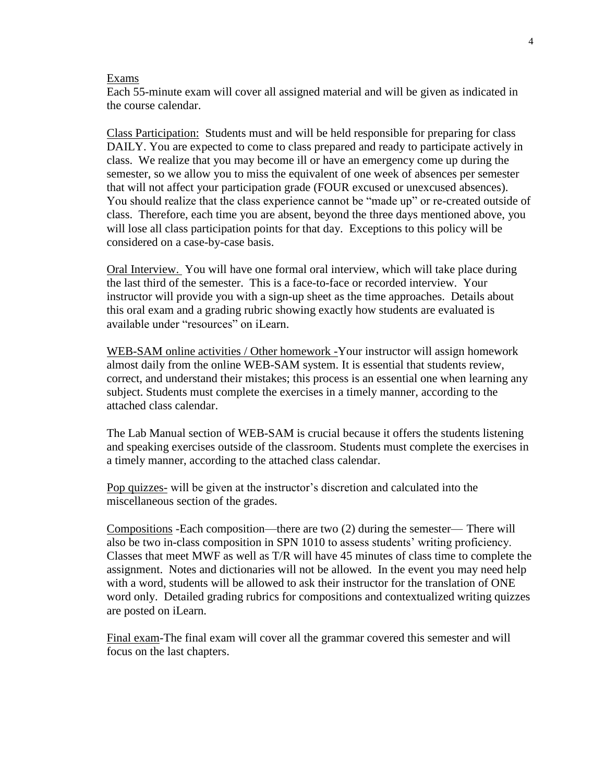#### Exams

Each 55-minute exam will cover all assigned material and will be given as indicated in the course calendar.

Class Participation: Students must and will be held responsible for preparing for class DAILY. You are expected to come to class prepared and ready to participate actively in class. We realize that you may become ill or have an emergency come up during the semester, so we allow you to miss the equivalent of one week of absences per semester that will not affect your participation grade (FOUR excused or unexcused absences). You should realize that the class experience cannot be "made up" or re-created outside of class. Therefore, each time you are absent, beyond the three days mentioned above, you will lose all class participation points for that day. Exceptions to this policy will be considered on a case-by-case basis.

Oral Interview. You will have one formal oral interview, which will take place during the last third of the semester. This is a face-to-face or recorded interview. Your instructor will provide you with a sign-up sheet as the time approaches. Details about this oral exam and a grading rubric showing exactly how students are evaluated is available under "resources" on iLearn.

WEB-SAM online activities / Other homework -Your instructor will assign homework almost daily from the online WEB-SAM system. It is essential that students review, correct, and understand their mistakes; this process is an essential one when learning any subject. Students must complete the exercises in a timely manner, according to the attached class calendar.

The Lab Manual section of WEB-SAM is crucial because it offers the students listening and speaking exercises outside of the classroom. Students must complete the exercises in a timely manner, according to the attached class calendar.

Pop quizzes- will be given at the instructor's discretion and calculated into the miscellaneous section of the grades.

Compositions -Each composition—there are two (2) during the semester— There will also be two in-class composition in SPN 1010 to assess students' writing proficiency. Classes that meet MWF as well as T/R will have 45 minutes of class time to complete the assignment. Notes and dictionaries will not be allowed. In the event you may need help with a word, students will be allowed to ask their instructor for the translation of ONE word only. Detailed grading rubrics for compositions and contextualized writing quizzes are posted on iLearn.

Final exam-The final exam will cover all the grammar covered this semester and will focus on the last chapters.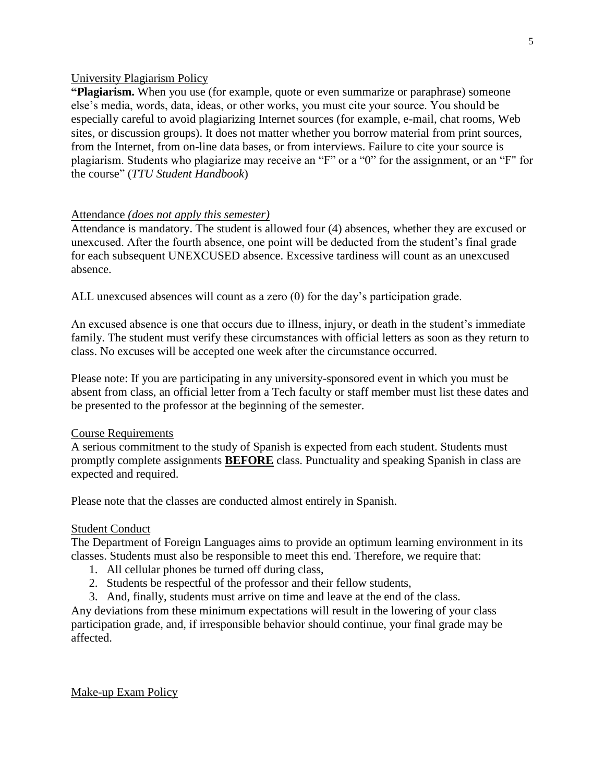### University Plagiarism Policy

**"Plagiarism.** When you use (for example, quote or even summarize or paraphrase) someone else's media, words, data, ideas, or other works, you must cite your source. You should be especially careful to avoid plagiarizing Internet sources (for example, e-mail, chat rooms, Web sites, or discussion groups). It does not matter whether you borrow material from print sources, from the Internet, from on-line data bases, or from interviews. Failure to cite your source is plagiarism. Students who plagiarize may receive an "F" or a "0" for the assignment, or an "F" for the course" (*TTU Student Handbook*)

## Attendance *(does not apply this semester)*

Attendance is mandatory. The student is allowed four (4) absences, whether they are excused or unexcused. After the fourth absence, one point will be deducted from the student's final grade for each subsequent UNEXCUSED absence. Excessive tardiness will count as an unexcused absence.

ALL unexcused absences will count as a zero (0) for the day's participation grade.

An excused absence is one that occurs due to illness, injury, or death in the student's immediate family. The student must verify these circumstances with official letters as soon as they return to class. No excuses will be accepted one week after the circumstance occurred.

Please note: If you are participating in any university-sponsored event in which you must be absent from class, an official letter from a Tech faculty or staff member must list these dates and be presented to the professor at the beginning of the semester.

#### Course Requirements

A serious commitment to the study of Spanish is expected from each student. Students must promptly complete assignments **BEFORE** class. Punctuality and speaking Spanish in class are expected and required.

Please note that the classes are conducted almost entirely in Spanish.

#### Student Conduct

The Department of Foreign Languages aims to provide an optimum learning environment in its classes. Students must also be responsible to meet this end. Therefore, we require that:

- 1. All cellular phones be turned off during class,
- 2. Students be respectful of the professor and their fellow students,
- 3. And, finally, students must arrive on time and leave at the end of the class.

Any deviations from these minimum expectations will result in the lowering of your class participation grade, and, if irresponsible behavior should continue, your final grade may be affected.

Make-up Exam Policy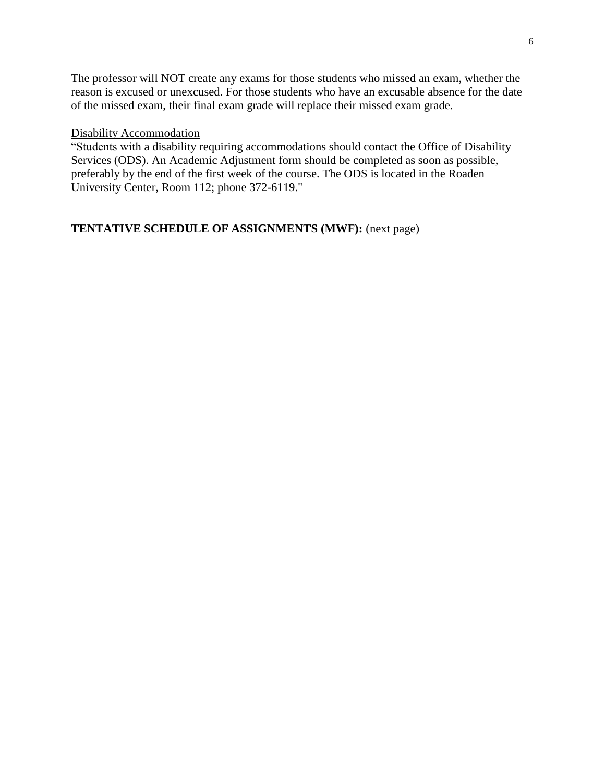The professor will NOT create any exams for those students who missed an exam, whether the reason is excused or unexcused. For those students who have an excusable absence for the date of the missed exam, their final exam grade will replace their missed exam grade.

#### Disability Accommodation

"Students with a disability requiring accommodations should contact the Office of Disability Services (ODS). An Academic Adjustment form should be completed as soon as possible, preferably by the end of the first week of the course. The ODS is located in the Roaden University Center, Room 112; phone 372-6119."

## **TENTATIVE SCHEDULE OF ASSIGNMENTS (MWF):** (next page)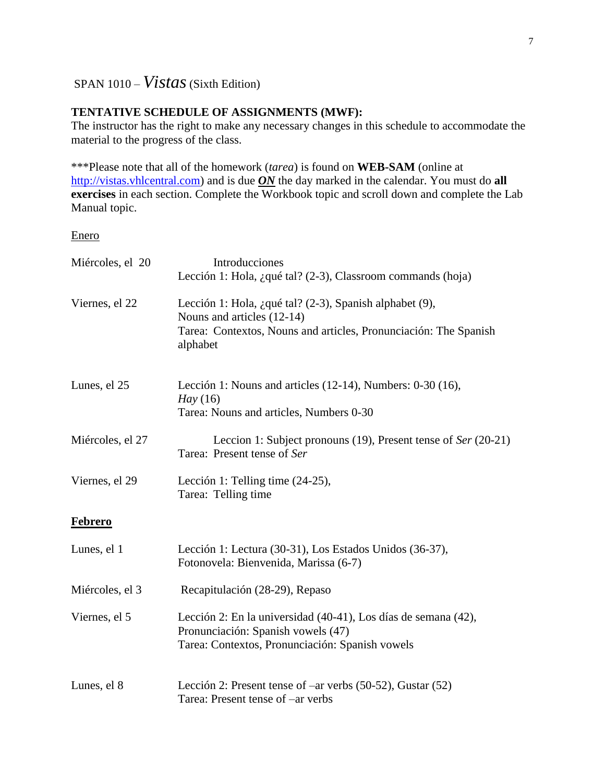# **TENTATIVE SCHEDULE OF ASSIGNMENTS (MWF):**

The instructor has the right to make any necessary changes in this schedule to accommodate the material to the progress of the class.

\*\*\*Please note that all of the homework (*tarea*) is found on **WEB-SAM** (online at [http://vistas.vhlcentral.com\)](http://vistas.vhlcentral.com/) and is due *ON* the day marked in the calendar. You must do **all exercises** in each section. Complete the Workbook topic and scroll down and complete the Lab Manual topic.

### Enero

| Miércoles, el 20 | Introducciones<br>Lección 1: Hola, ¿qué tal? (2-3), Classroom commands (hoja)                                                                                         |
|------------------|-----------------------------------------------------------------------------------------------------------------------------------------------------------------------|
| Viernes, el 22   | Lección 1: Hola, ¿qué tal? (2-3), Spanish alphabet (9),<br>Nouns and articles (12-14)<br>Tarea: Contextos, Nouns and articles, Pronunciación: The Spanish<br>alphabet |
| Lunes, el 25     | Lección 1: Nouns and articles (12-14), Numbers: 0-30 (16),<br>Hay(16)<br>Tarea: Nouns and articles, Numbers 0-30                                                      |
| Miércoles, el 27 | Leccion 1: Subject pronouns (19), Present tense of Ser (20-21)<br>Tarea: Present tense of Ser                                                                         |
| Viernes, el 29   | Lección 1: Telling time (24-25),<br>Tarea: Telling time                                                                                                               |
| <b>Febrero</b>   |                                                                                                                                                                       |
| Lunes, el 1      | Lección 1: Lectura (30-31), Los Estados Unidos (36-37),<br>Fotonovela: Bienvenida, Marissa (6-7)                                                                      |
| Miércoles, el 3  | Recapitulación (28-29), Repaso                                                                                                                                        |
| Viernes, el 5    | Lección 2: En la universidad (40-41), Los días de semana (42),<br>Pronunciación: Spanish vowels (47)<br>Tarea: Contextos, Pronunciación: Spanish vowels               |
| Lunes, el 8      | Lección 2: Present tense of -ar verbs (50-52), Gustar (52)<br>Tarea: Present tense of -ar verbs                                                                       |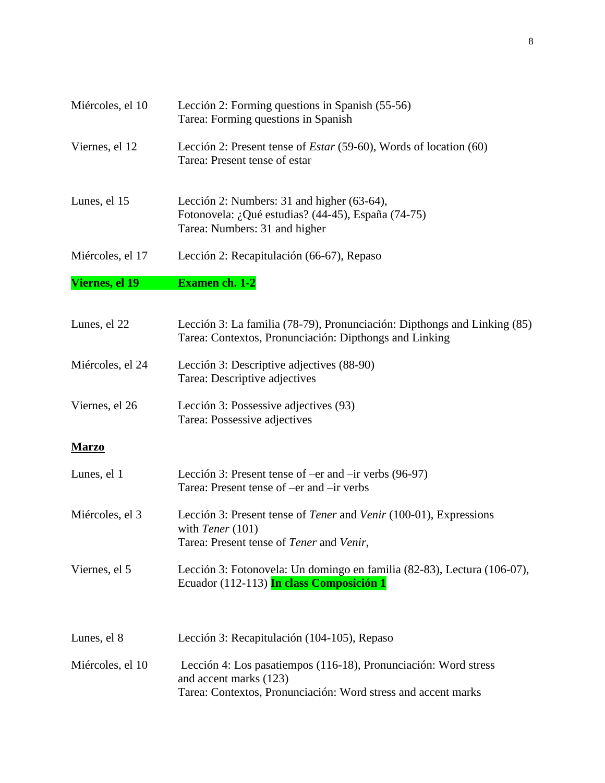| Miércoles, el 10 | Lección 2: Forming questions in Spanish (55-56)<br>Tarea: Forming questions in Spanish                                                                     |
|------------------|------------------------------------------------------------------------------------------------------------------------------------------------------------|
| Viernes, el 12   | Lección 2: Present tense of <i>Estar</i> (59-60), Words of location (60)<br>Tarea: Present tense of estar                                                  |
| Lunes, el 15     | Lección 2: Numbers: 31 and higher (63-64),<br>Fotonovela: ¿Qué estudias? (44-45), España (74-75)<br>Tarea: Numbers: 31 and higher                          |
| Miércoles, el 17 | Lección 2: Recapitulación (66-67), Repaso                                                                                                                  |
| Viernes, el 19   | <b>Examen ch. 1-2</b>                                                                                                                                      |
| Lunes, el 22     | Lección 3: La familia (78-79), Pronunciación: Dipthongs and Linking (85)<br>Tarea: Contextos, Pronunciación: Dipthongs and Linking                         |
| Miércoles, el 24 | Lección 3: Descriptive adjectives (88-90)<br>Tarea: Descriptive adjectives                                                                                 |
| Viernes, el 26   | Lección 3: Possessive adjectives (93)<br>Tarea: Possessive adjectives                                                                                      |
| <b>Marzo</b>     |                                                                                                                                                            |
| Lunes, el 1      | Lección 3: Present tense of $-$ er and $-$ ir verbs (96-97)<br>Tarea: Present tense of -er and -ir verbs                                                   |
| Miércoles, el 3  | Lección 3: Present tense of <i>Tener</i> and <i>Venir</i> (100-01), Expressions<br>with Tener $(101)$<br>Tarea: Present tense of Tener and Venir,          |
| Viernes, el 5    | Lección 3: Fotonovela: Un domingo en familia (82-83), Lectura (106-07),<br>Ecuador (112-113) In class Composición 1                                        |
| Lunes, el 8      | Lección 3: Recapitulación (104-105), Repaso                                                                                                                |
| Miércoles, el 10 | Lección 4: Los pasatiempos (116-18), Pronunciación: Word stress<br>and accent marks (123)<br>Tarea: Contextos, Pronunciación: Word stress and accent marks |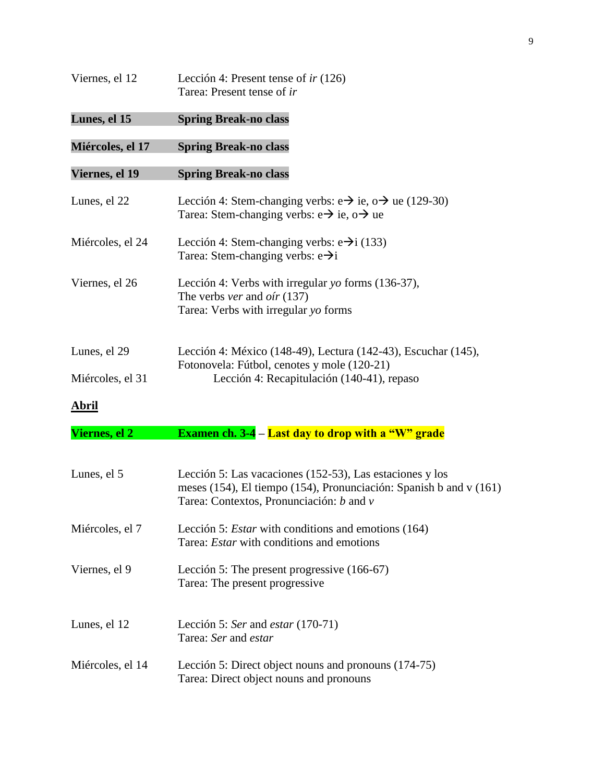| Viernes, el 12   | Lección 4: Present tense of <i>ir</i> $(126)$<br>Tarea: Present tense of ir                                                                                                |
|------------------|----------------------------------------------------------------------------------------------------------------------------------------------------------------------------|
| Lunes, el 15     | <b>Spring Break-no class</b>                                                                                                                                               |
| Miércoles, el 17 | <b>Spring Break-no class</b>                                                                                                                                               |
| Viernes, el 19   | <b>Spring Break-no class</b>                                                                                                                                               |
| Lunes, el 22     | Lección 4: Stem-changing verbs: $e \rightarrow ie$ , $o \rightarrow ue$ (129-30)<br>Tarea: Stem-changing verbs: $e \rightarrow ie$ , $o \rightarrow ue$                    |
| Miércoles, el 24 | Lección 4: Stem-changing verbs: $e\rightarrow i(133)$<br>Tarea: Stem-changing verbs: $e\rightarrow i$                                                                      |
| Viernes, el 26   | Lección 4: Verbs with irregular yo forms (136-37),<br>The verbs ver and oir (137)<br>Tarea: Verbs with irregular yo forms                                                  |
| Lunes, el 29     | Lección 4: México (148-49), Lectura (142-43), Escuchar (145),                                                                                                              |
| Miércoles, el 31 | Fotonovela: Fútbol, cenotes y mole (120-21)<br>Lección 4: Recapitulación (140-41), repaso                                                                                  |
| <u>Abril</u>     |                                                                                                                                                                            |
| Viernes, el 2    | <b>Examen ch. 3-4 – Last day to drop with a "W" grade</b>                                                                                                                  |
| Lunes, el 5      | Lección 5: Las vacaciones (152-53), Las estaciones y los<br>meses (154), El tiempo (154), Pronunciación: Spanish b and v (161)<br>Tarea: Contextos, Pronunciación: b and v |
| Miércoles, el 7  | Lección 5: <i>Estar</i> with conditions and emotions (164)<br>Tarea: <i>Estar</i> with conditions and emotions                                                             |
| Viernes, el 9    | Lección 5: The present progressive (166-67)<br>Tarea: The present progressive                                                                                              |
| Lunes, el 12     | Lección 5: Ser and estar $(170-71)$<br>Tarea: Ser and estar                                                                                                                |
| Miércoles, el 14 | Lección 5: Direct object nouns and pronouns (174-75)<br>Tarea: Direct object nouns and pronouns                                                                            |